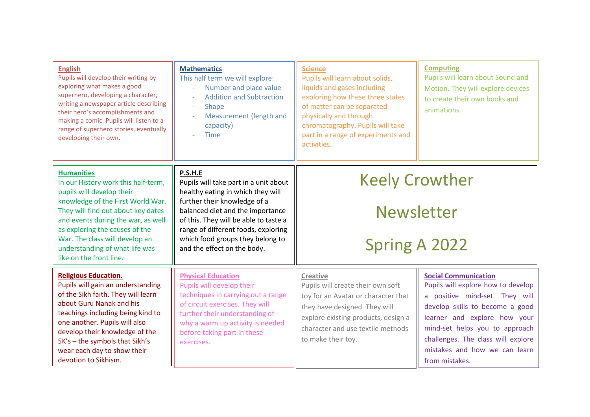| <b>English</b><br>Pupils will develop their writing by<br>exploring what makes a good<br>superhero, developing a character,<br>writing a newspaper article describing<br>their hero's accomplishments and<br>making a comic. Pupils will listen to a<br>range of superhero stories, eventually<br>developing their own.                 | <b>Mathematics</b><br>This half term we will explore:<br>Number and place value<br>÷,<br><b>Addition and Subtraction</b><br>$\overline{\phantom{a}}$<br>Shape<br>$\overline{\phantom{a}}$<br>Measurement (length and<br>capacity)<br><b>Time</b>                                                             | <b>Science</b><br>Pupils will learn about solids,<br>liquids and gases including<br>exploring how these three states<br>of matter can be separated<br>physically and through<br>chromatography. Pupils will take<br>part in a range of experiments and<br>activities. | <b>Computing</b><br>Pupils will learn about Sound and<br>Motion. They will explore devices<br>to create their own books and<br>animations.                                                                                                                                                        |
|-----------------------------------------------------------------------------------------------------------------------------------------------------------------------------------------------------------------------------------------------------------------------------------------------------------------------------------------|--------------------------------------------------------------------------------------------------------------------------------------------------------------------------------------------------------------------------------------------------------------------------------------------------------------|-----------------------------------------------------------------------------------------------------------------------------------------------------------------------------------------------------------------------------------------------------------------------|---------------------------------------------------------------------------------------------------------------------------------------------------------------------------------------------------------------------------------------------------------------------------------------------------|
| <b>Humanities</b><br>In our History work this half-term,<br>pupils will develop their<br>knowledge of the First World War.<br>They will find out about key dates<br>and events during the war, as well<br>as exploring the causes of the<br>War. The class will develop an<br>understanding of what life was<br>like on the front line. | P.S.H.E<br>Pupils will take part in a unit about<br>healthy eating in which they will<br>further their knowledge of a<br>balanced diet and the importance<br>of this. They will be able to taste a<br>range of different foods, exploring<br>which food groups they belong to<br>and the effect on the body. | <b>Keely Crowther</b><br><b>Newsletter</b><br><b>Spring A 2022</b>                                                                                                                                                                                                    |                                                                                                                                                                                                                                                                                                   |
| <b>Religious Education.</b><br>Pupils will gain an understanding<br>of the Sikh faith. They will learn<br>about Guru Nanak and his<br>teachings including being kind to<br>one another. Pupils will also<br>develop their knowledge of the<br>5K's - the symbols that Sikh's<br>wear each day to show their<br>devotion to Sikhism.     | <b>Physical Education</b><br>Pupils will develop their<br>techniques in carrying out a range<br>of circuit exercises. They will<br>further their understanding of<br>why a warm up activity is needed<br>before taking part in these<br>exercises.                                                           | <b>Creative</b><br>Pupils will create their own soft<br>toy for an Avatar or character that<br>they have designed. They will<br>explore existing products, design a<br>character and use textile methods<br>to make their toy.                                        | <b>Social Communication</b><br>Pupils will explore how to develop<br>a positive mind-set. They will<br>develop skills to become a good<br>learner and explore how your<br>mind-set helps you to approach<br>challenges. The class will explore<br>mistakes and how we can learn<br>from mistakes. |